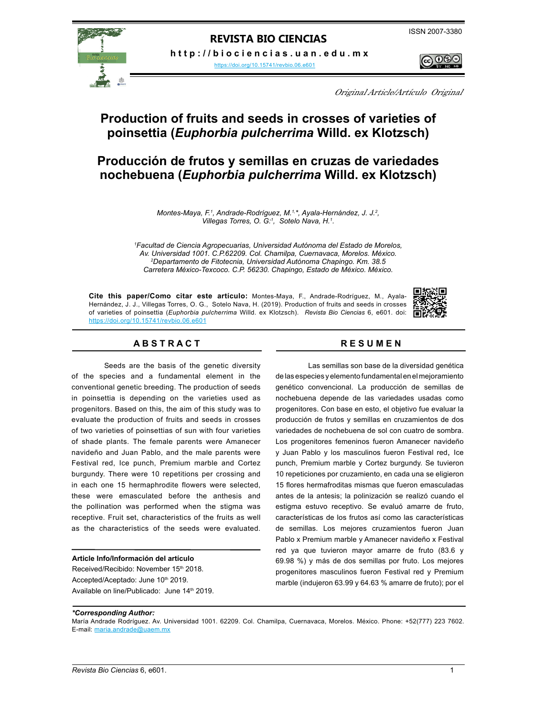**h t t p : / / b i o c i e n c i a s . u a n . e d u . m x** 

<https://doi.org/10.15741/revbio.06.e601>



Original Article/Artículo Original

# **Production of fruits and seeds in crosses of varieties of poinsettia (***Euphorbia pulcherrima* **Willd. ex Klotzsch)**

# **Producción de frutos y semillas en cruzas de variedades nochebuena (***Euphorbia pulcherrima* **Willd. ex Klotzsch)**

Montes-Maya, F.<sup>1</sup>, Andrade-Rodríguez, M.<sup>1,\*</sup>, Ayala-Hernández, J. J.<sup>2</sup>, *Villegas Torres, O. G:1 , Sotelo Nava, H.1 .*

*1 Facultad de Ciencia Agropecuarias, Universidad Autónoma del Estado de Morelos, Av. Universidad 1001. C.P.62209. Col. Chamilpa, Cuernavaca, Morelos. México. 2 Departamento de Fitotecnia, Universidad Autónoma Chapingo. Km. 38.5 Carretera México-Texcoco. C.P. 56230. Chapingo, Estado de México. México.*

**Cite this paper/Como citar este artículo:** Montes-Maya, F., Andrade-Rodríguez, M., Ayala-Hernández, J. J., Villegas Torres, O. G., Sotelo Nava, H. (2019). Production of fruits and seeds in crosses of varieties of poinsettia (*Euphorbia pulcherrima* Willd. ex Klotzsch). *Revista Bio Ciencias* 6, e601. doi: <https://doi.org/10.15741/revbio.06.e601>



# **A B S T R A C T R E S U M E N**

Seeds are the basis of the genetic diversity of the species and a fundamental element in the conventional genetic breeding. The production of seeds in poinsettia is depending on the varieties used as progenitors. Based on this, the aim of this study was to evaluate the production of fruits and seeds in crosses of two varieties of poinsettias of sun with four varieties of shade plants. The female parents were Amanecer navideño and Juan Pablo, and the male parents were Festival red, Ice punch, Premium marble and Cortez burgundy. There were 10 repetitions per crossing and in each one 15 hermaphrodite flowers were selected, these were emasculated before the anthesis and the pollination was performed when the stigma was receptive. Fruit set, characteristics of the fruits as well as the characteristics of the seeds were evaluated.

#### **Article Info/Información del artículo**

Received/Recibido: November 15<sup>th</sup> 2018. Accepted/Aceptado: June 10th 2019. Available on line/Publicado: June 14<sup>th</sup> 2019.

Las semillas son base de la diversidad genética de las especies y elemento fundamental en el mejoramiento genético convencional. La producción de semillas de nochebuena depende de las variedades usadas como progenitores. Con base en esto, el objetivo fue evaluar la producción de frutos y semillas en cruzamientos de dos variedades de nochebuena de sol con cuatro de sombra. Los progenitores femeninos fueron Amanecer navideño y Juan Pablo y los masculinos fueron Festival red, Ice punch, Premium marble y Cortez burgundy. Se tuvieron 10 repeticiones por cruzamiento, en cada una se eligieron 15 flores hermafroditas mismas que fueron emasculadas antes de la antesis; la polinización se realizó cuando el estigma estuvo receptivo. Se evaluó amarre de fruto, características de los frutos así como las características de semillas. Los mejores cruzamientos fueron Juan Pablo x Premium marble y Amanecer navideño x Festival red ya que tuvieron mayor amarre de fruto (83.6 y 69.98 %) y más de dos semillas por fruto. Los mejores progenitores masculinos fueron Festival red y Premium marble (indujeron 63.99 y 64.63 % amarre de fruto); por el

# *\*Corresponding Author:*

María Andrade Rodríguez. Av. Universidad 1001. 62209. Col. Chamilpa, Cuernavaca, Morelos. México. Phone: +52(777) 223 7602. E-mail: maria.andrade@uaem.mx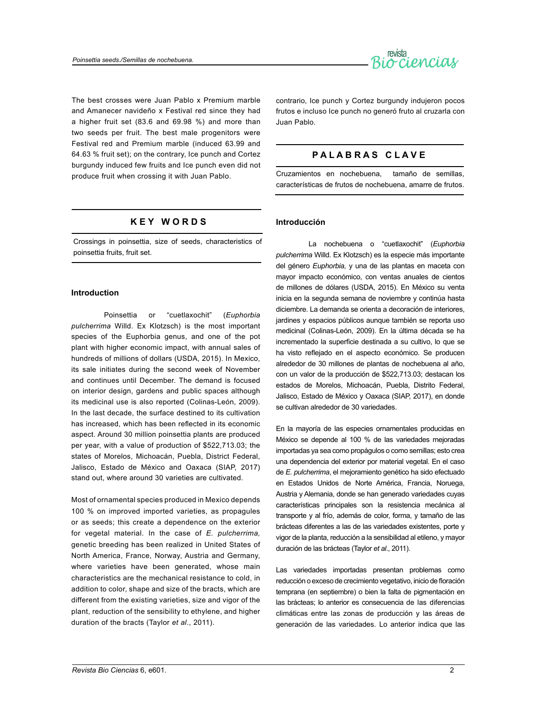

The best crosses were Juan Pablo x Premium marble and Amanecer navideño x Festival red since they had a higher fruit set (83.6 and 69.98 %) and more than two seeds per fruit. The best male progenitors were Festival red and Premium marble (induced 63.99 and 64.63 % fruit set); on the contrary, Ice punch and Cortez burgundy induced few fruits and Ice punch even did not produce fruit when crossing it with Juan Pablo.

# **K E Y W O R D S**

Crossings in poinsettia, size of seeds, characteristics of poinsettia fruits, fruit set.

# **Introduction**

Poinsettia or "cuetlaxochit" (*Euphorbia pulcherrima* Willd. Ex Klotzsch) is the most important species of the Euphorbia genus, and one of the pot plant with higher economic impact, with annual sales of hundreds of millions of dollars (USDA, 2015). In Mexico, its sale initiates during the second week of November and continues until December. The demand is focused on interior design, gardens and public spaces although its medicinal use is also reported (Colinas-León, 2009). In the last decade, the surface destined to its cultivation has increased, which has been reflected in its economic aspect. Around 30 million poinsettia plants are produced per year, with a value of production of \$522,713.03; the states of Morelos, Michoacán, Puebla, District Federal, Jalisco, Estado de México and Oaxaca (SIAP, 2017) stand out, where around 30 varieties are cultivated.

Most of ornamental species produced in Mexico depends 100 % on improved imported varieties, as propagules or as seeds; this create a dependence on the exterior for vegetal material. In the case of *E. pulcherrima,* genetic breeding has been realized in United States of North America, France, Norway, Austria and Germany, where varieties have been generated, whose main characteristics are the mechanical resistance to cold, in addition to color, shape and size of the bracts, which are different from the existing varieties, size and vigor of the plant, reduction of the sensibility to ethylene, and higher duration of the bracts (Taylor *et al*., 2011).

contrario, Ice punch y Cortez burgundy indujeron pocos frutos e incluso Ice punch no generó fruto al cruzarla con Juan Pablo.

# **P A L A B R A S C L A V E**

Cruzamientos en nochebuena, tamaño de semillas, características de frutos de nochebuena, amarre de frutos.

# **Introducción**

La nochebuena o "cuetlaxochit" (*Euphorbia pulcherrima* Willd. Ex Klotzsch) es la especie más importante del género *Euphorbia,* y una de las plantas en maceta con mayor impacto económico, con ventas anuales de cientos de millones de dólares (USDA, 2015). En México su venta inicia en la segunda semana de noviembre y continúa hasta diciembre. La demanda se orienta a decoración de interiores, jardines y espacios públicos aunque también se reporta uso medicinal (Colinas-León, 2009). En la última década se ha incrementado la superficie destinada a su cultivo, lo que se ha visto reflejado en el aspecto económico. Se producen alrededor de 30 millones de plantas de nochebuena al año, con un valor de la producción de \$522,713.03; destacan los estados de Morelos, Michoacán, Puebla, Distrito Federal, Jalisco, Estado de México y Oaxaca (SIAP, 2017), en donde se cultivan alrededor de 30 variedades.

En la mayoría de las especies ornamentales producidas en México se depende al 100 % de las variedades mejoradas importadas ya sea como propágulos o como semillas; esto crea una dependencia del exterior por material vegetal. En el caso de *E. pulcherrima*, el mejoramiento genético ha sido efectuado en Estados Unidos de Norte América, Francia, Noruega, Austria y Alemania, donde se han generado variedades cuyas características principales son la resistencia mecánica al transporte y al frío, además de color, forma, y tamaño de las brácteas diferentes a las de las variedades existentes, porte y vigor de la planta, reducción a la sensibilidad al etileno, y mayor duración de las brácteas (Taylor *et al*., 2011).

Las variedades importadas presentan problemas como reducción o exceso de crecimiento vegetativo, inicio de floración temprana (en septiembre) o bien la falta de pigmentación en las brácteas; lo anterior es consecuencia de las diferencias climáticas entre las zonas de producción y las áreas de generación de las variedades. Lo anterior indica que las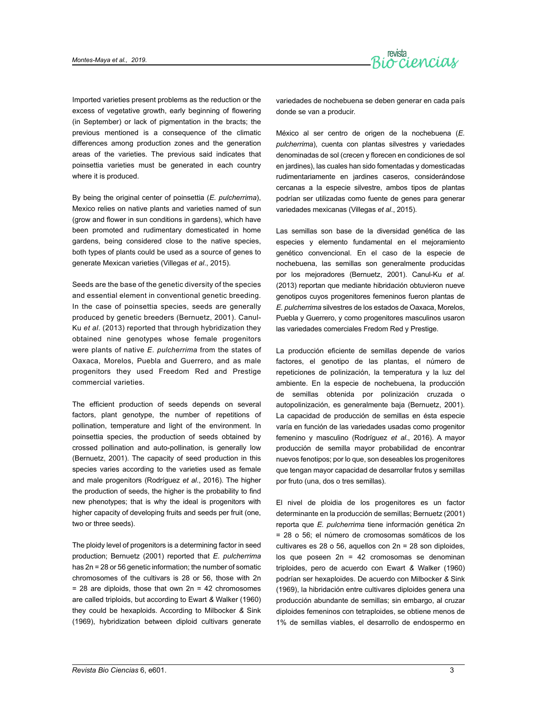

Imported varieties present problems as the reduction or the excess of vegetative growth, early beginning of flowering (in September) or lack of pigmentation in the bracts; the previous mentioned is a consequence of the climatic differences among production zones and the generation areas of the varieties. The previous said indicates that poinsettia varieties must be generated in each country where it is produced.

By being the original center of poinsettia (*E. pulcherrima*), Mexico relies on native plants and varieties named of sun (grow and flower in sun conditions in gardens), which have been promoted and rudimentary domesticated in home gardens, being considered close to the native species, both types of plants could be used as a source of genes to generate Mexican varieties (Villegas *et al*., 2015).

Seeds are the base of the genetic diversity of the species and essential element in conventional genetic breeding. In the case of poinsettia species, seeds are generally produced by genetic breeders (Bernuetz, 2001). Canul-Ku *et al*. (2013) reported that through hybridization they obtained nine genotypes whose female progenitors were plants of native *E. pulcherrima* from the states of Oaxaca, Morelos, Puebla and Guerrero, and as male progenitors they used Freedom Red and Prestige commercial varieties.

The efficient production of seeds depends on several factors, plant genotype, the number of repetitions of pollination, temperature and light of the environment. In poinsettia species, the production of seeds obtained by crossed pollination and auto-pollination, is generally low (Bernuetz, 2001). The capacity of seed production in this species varies according to the varieties used as female and male progenitors (Rodríguez *et al*., 2016). The higher the production of seeds, the higher is the probability to find new phenotypes; that is why the ideal is progenitors with higher capacity of developing fruits and seeds per fruit (one, two or three seeds).

The ploidy level of progenitors is a determining factor in seed production; Bernuetz (2001) reported that *E. pulcherrima* has 2n = 28 or 56 genetic information; the number of somatic chromosomes of the cultivars is 28 or 56, those with 2n  $= 28$  are diploids, those that own  $2n = 42$  chromosomes are called triploids, but according to Ewart *&* Walker (1960) they could be hexaploids. According to Milbocker *&* Sink (1969), hybridization between diploid cultivars generate variedades de nochebuena se deben generar en cada país donde se van a producir.

México al ser centro de origen de la nochebuena (*E. pulcherrima*), cuenta con plantas silvestres y variedades denominadas de sol (crecen y florecen en condiciones de sol en jardines), las cuales han sido fomentadas y domesticadas rudimentariamente en jardines caseros, considerándose cercanas a la especie silvestre, ambos tipos de plantas podrían ser utilizadas como fuente de genes para generar variedades mexicanas (Villegas *et al*., 2015).

Las semillas son base de la diversidad genética de las especies y elemento fundamental en el mejoramiento genético convencional. En el caso de la especie de nochebuena, las semillas son generalmente producidas por los mejoradores (Bernuetz, 2001). Canul-Ku *et al*. (2013) reportan que mediante hibridación obtuvieron nueve genotipos cuyos progenitores femeninos fueron plantas de *E. pulcherrima* silvestres de los estados de Oaxaca, Morelos, Puebla y Guerrero, y como progenitores masculinos usaron las variedades comerciales Fredom Red y Prestige.

La producción eficiente de semillas depende de varios factores, el genotipo de las plantas, el número de repeticiones de polinización, la temperatura y la luz del ambiente. En la especie de nochebuena, la producción de semillas obtenida por polinización cruzada o autopolinización, es generalmente baja (Bernuetz, 2001). La capacidad de producción de semillas en ésta especie varía en función de las variedades usadas como progenitor femenino y masculino (Rodríguez *et al*., 2016). A mayor producción de semilla mayor probabilidad de encontrar nuevos fenotipos; por lo que, son deseables los progenitores que tengan mayor capacidad de desarrollar frutos y semillas por fruto (una, dos o tres semillas).

El nivel de ploidia de los progenitores es un factor determinante en la producción de semillas; Bernuetz (2001) reporta que *E. pulcherrima* tiene información genética 2n = 28 o 56; el número de cromosomas somáticos de los cultivares es 28 o 56, aquellos con 2n = 28 son diploides, los que poseen 2n = 42 cromosomas se denominan triploides, pero de acuerdo con Ewart *&* Walker (1960) podrían ser hexaploides. De acuerdo con Milbocker *&* Sink (1969), la hibridación entre cultivares diploides genera una producción abundante de semillas; sin embargo, al cruzar diploides femeninos con tetraploides, se obtiene menos de 1% de semillas viables, el desarrollo de endospermo en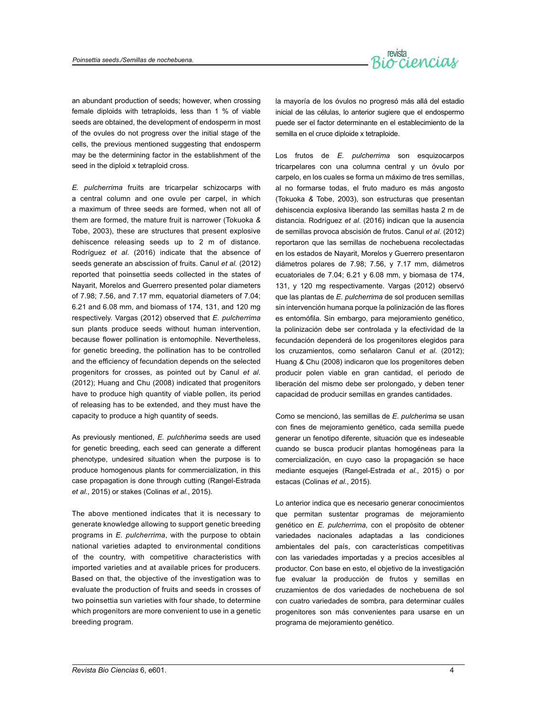

an abundant production of seeds; however, when crossing female diploids with tetraploids, less than 1 % of viable seeds are obtained, the development of endosperm in most of the ovules do not progress over the initial stage of the cells, the previous mentioned suggesting that endosperm may be the determining factor in the establishment of the seed in the diploid x tetraploid cross.

*E. pulcherrima* fruits are tricarpelar schizocarps with a central column and one ovule per carpel, in which a maximum of three seeds are formed, when not all of them are formed, the mature fruit is narrower (Tokuoka *&* Tobe, 2003), these are structures that present explosive dehiscence releasing seeds up to 2 m of distance. Rodríguez *et al*. (2016) indicate that the absence of seeds generate an abscission of fruits. Canul *et al.* (2012) reported that poinsettia seeds collected in the states of Nayarit, Morelos and Guerrero presented polar diameters of 7.98; 7.56, and 7.17 mm, equatorial diameters of 7.04; 6.21 and 6.08 mm, and biomass of 174, 131, and 120 mg respectively. Vargas (2012) observed that *E. pulcherrima*  sun plants produce seeds without human intervention, because flower pollination is entomophile. Nevertheless, for genetic breeding, the pollination has to be controlled and the efficiency of fecundation depends on the selected progenitors for crosses, as pointed out by Canul *et al*. (2012); Huang and Chu (2008) indicated that progenitors have to produce high quantity of viable pollen, its period of releasing has to be extended, and they must have the capacity to produce a high quantity of seeds.

As previously mentioned, *E. pulchherima* seeds are used for genetic breeding, each seed can generate a different phenotype, undesired situation when the purpose is to produce homogenous plants for commercialization, in this case propagation is done through cutting (Rangel-Estrada *et al*., 2015) or stakes (Colinas *et al*., 2015).

The above mentioned indicates that it is necessary to generate knowledge allowing to support genetic breeding programs in *E. pulcherrima*, with the purpose to obtain national varieties adapted to environmental conditions of the country, with competitive characteristics with imported varieties and at available prices for producers. Based on that, the objective of the investigation was to evaluate the production of fruits and seeds in crosses of two poinsettia sun varieties with four shade, to determine which progenitors are more convenient to use in a genetic breeding program.

la mayoría de los óvulos no progresó más allá del estadio inicial de las células, lo anterior sugiere que el endospermo puede ser el factor determinante en el establecimiento de la semilla en el cruce diploide x tetraploide.

Los frutos de *E. pulcherrima* son esquizocarpos tricarpelares con una columna central y un óvulo por carpelo, en los cuales se forma un máximo de tres semillas, al no formarse todas, el fruto maduro es más angosto (Tokuoka *&* Tobe, 2003), son estructuras que presentan dehiscencia explosiva liberando las semillas hasta 2 m de distancia. Rodríguez *et al*. (2016) indican que la ausencia de semillas provoca abscisión de frutos. Canul *et al.* (2012) reportaron que las semillas de nochebuena recolectadas en los estados de Nayarit, Morelos y Guerrero presentaron diámetros polares de 7.98; 7.56, y 7.17 mm, diámetros ecuatoriales de 7.04; 6.21 y 6.08 mm, y biomasa de 174, 131, y 120 mg respectivamente. Vargas (2012) observó que las plantas de *E. pulcherrima* de sol producen semillas sin intervención humana porque la polinización de las flores es entomófila. Sin embargo, para mejoramiento genético, la polinización debe ser controlada y la efectividad de la fecundación dependerá de los progenitores elegidos para los cruzamientos, como señalaron Canul *et al*. (2012); Huang *&* Chu (2008) indicaron que los progenitores deben producir polen viable en gran cantidad, el periodo de liberación del mismo debe ser prolongado, y deben tener capacidad de producir semillas en grandes cantidades.

Como se mencionó, las semillas de *E. pulcherima* se usan con fines de mejoramiento genético, cada semilla puede generar un fenotipo diferente, situación que es indeseable cuando se busca producir plantas homogéneas para la comercialización, en cuyo caso la propagación se hace mediante esquejes (Rangel-Estrada *et al*., 2015) o por estacas (Colinas *et al*., 2015).

Lo anterior indica que es necesario generar conocimientos que permitan sustentar programas de mejoramiento genético en *E. pulcherrima*, con el propósito de obtener variedades nacionales adaptadas a las condiciones ambientales del país, con características competitivas con las variedades importadas y a precios accesibles al productor. Con base en esto, el objetivo de la investigación fue evaluar la producción de frutos y semillas en cruzamientos de dos variedades de nochebuena de sol con cuatro variedades de sombra, para determinar cuáles progenitores son más convenientes para usarse en un programa de mejoramiento genético.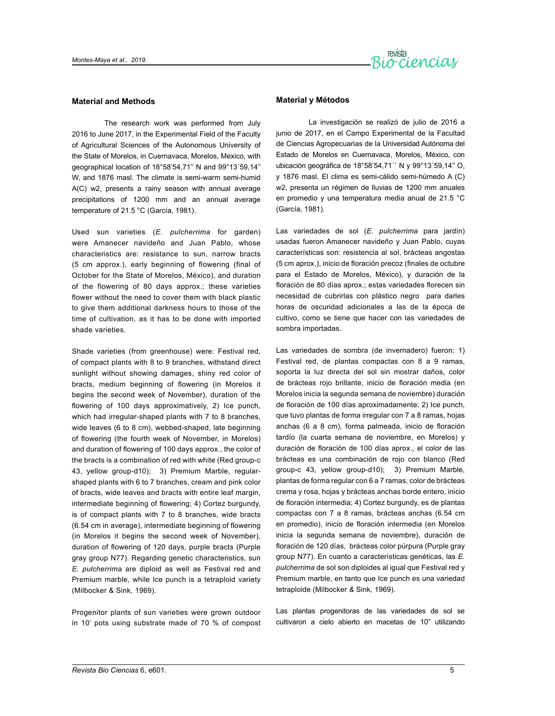

#### **Material and Methods**

The research work was performed from July 2016 to June 2017, in the Experimental Field of the Faculty of Agricultural Sciences of the Autonomous University of the State of Morelos, in Cuernavaca, Morelos, Mexico, with geographical location of 18°58'54,71'' N and 99°13´59,14'' W, and 1876 masl. The climate is semi-warm semi-humid A(C) w2, presents a rainy season with annual average precipitations of 1200 mm and an annual average temperature of 21.5 °C (García, 1981).

Used sun varieties (*E. pulcherrima* for garden) were Amanecer navideño and Juan Pablo, whose characteristics are: resistance to sun, narrow bracts (5 cm approx.), early beginning of flowering (final of October for the State of Morelos, México), and duration of the flowering of 80 days approx.; these varieties flower without the need to cover them with black plastic to give them additional darkness hours to those of the time of cultivation, as it has to be done with imported shade varieties.

Shade varieties (from greenhouse) were: Festival red, of compact plants with 8 to 9 branches, withstand direct sunlight without showing damages, shiny red color of bracts, medium beginning of flowering (in Morelos it begins the second week of November), duration of the flowering of 100 days approximatively, 2) Ice punch, which had irregular-shaped plants with 7 to 8 branches, wide leaves (6 to 8 cm), webbed-shaped, late beginning of flowering (the fourth week of November, in Morelos) and duration of flowering of 100 days approx., the color of the bracts is a combination of red with white (Red group-c 43, yellow group-d10); 3) Premium Marble, regularshaped plants with 6 to 7 branches, cream and pink color of bracts, wide leaves and bracts with entire leaf margin, intermediate beginning of flowering; 4) Cortez burgundy, is of compact plants with 7 to 8 branches, wide bracts (6.54 cm in average), intermediate beginning of flowering (in Morelos it begins the second week of November), duration of flowering of 120 days, purple bracts (Purple gray group N77). Regarding genetic characteristics, sun *E. pulcherrima* are diploid as well as Festival red and Premium marble, while Ice punch is a tetraploid variety (Milbocker & Sink, 1969).

Progenitor plants of sun varieties were grown outdoor in 10' pots using substrate made of 70 % of compost

# **Material y Métodos**

La investigación se realizó de julio de 2016 a junio de 2017, en el Campo Experimental de la Facultad de Ciencias Agropecuarias de la Universidad Autónoma del Estado de Morelos en Cuernavaca, Morelos, México, con ubicación geográfica de 18°58'54,71´´ N y 99°13´59,14'' O, y 1876 masl. El clima es semi-cálido semi-húmedo A (C) w2, presenta un régimen de lluvias de 1200 mm anuales en promedio y una temperatura media anual de 21.5 °C (García, 1981).

Las variedades de sol (*E. pulcherrima* para jardín) usadas fueron Amanecer navideño y Juan Pablo, cuyas características son: resistencia al sol, brácteas angostas (5 cm aprox.), inicio de floración precoz (finales de octubre para el Estado de Morelos, México), y duración de la floración de 80 días aprox.; estas variedades florecen sin necesidad de cubrirlas con plástico negro para darles horas de oscuridad adicionales a las de la época de cultivo, como se tiene que hacer con las variedades de sombra importadas.

Las variedades de sombra (de invernadero) fueron: 1) Festival red, de plantas compactas con 8 a 9 ramas, soporta la luz directa del sol sin mostrar daños, color de brácteas rojo brillante, inicio de floración media (en Morelos inicia la segunda semana de noviembre) duración de floración de 100 días aproximadamente; 2) Ice punch, que tuvo plantas de forma irregular con 7 a 8 ramas, hojas anchas (6 a 8 cm), forma palmeada, inicio de floración tardío (la cuarta semana de noviembre, en Morelos) y duración de floración de 100 días aprox., el color de las brácteas es una combinación de rojo con blanco (Red group-c 43, yellow group-d10); 3) Premium Marble, plantas de forma regular con 6 a 7 ramas, color de brácteas crema y rosa, hojas y brácteas anchas borde entero, inicio de floración intermedia; 4) Cortez burgundy, es de plantas compactas con 7 a 8 ramas, brácteas anchas (6.54 cm en promedio), inicio de floración intermedia (en Morelos inicia la segunda semana de noviembre), duración de floración de 120 días, brácteas color púrpura (Purple gray group N77). En cuanto a características genéticas, las *E. pulcherrima* de sol son diploides al igual que Festival red y Premium marble, en tanto que Ice punch es una variedad tetraploide (Milbocker *&* Sink, 1969).

Las plantas progenitoras de las variedades de sol se cultivaron a cielo abierto en macetas de 10" utilizando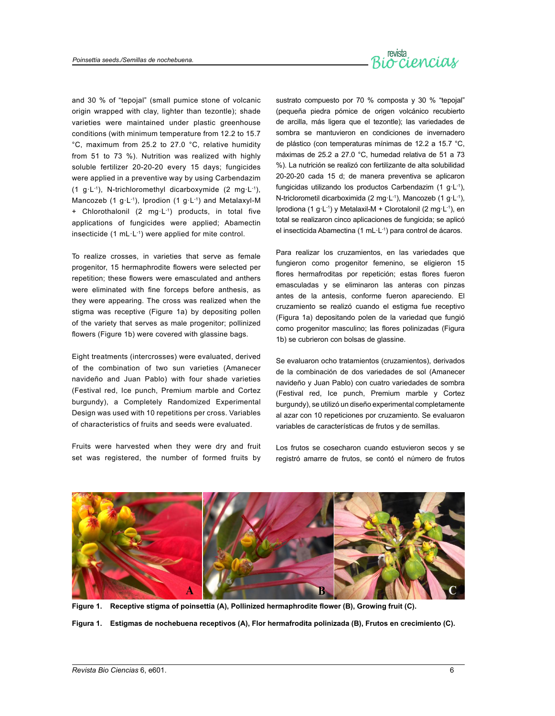

and 30 % of "tepojal" (small pumice stone of volcanic origin wrapped with clay, lighter than tezontle); shade varieties were maintained under plastic greenhouse conditions (with minimum temperature from 12.2 to 15.7 °C, maximum from 25.2 to 27.0 °C, relative humidity from 51 to 73 %). Nutrition was realized with highly soluble fertilizer 20-20-20 every 15 days; fungicides were applied in a preventive way by using Carbendazim (1 g·L<sup>-1</sup>), N-trichloromethyl dicarboxymide (2 mg·L<sup>-1</sup>), Mancozeb (1 g·L<sup>-1</sup>), Iprodion (1 g·L<sup>-1</sup>) and Metalaxyl-M + Chlorothalonil (2 mg·L-1) products, in total five applications of fungicides were applied; Abamectin insecticide  $(1 \text{ mL} \cdot L^{-1})$  were applied for mite control.

To realize crosses, in varieties that serve as female progenitor, 15 hermaphrodite flowers were selected per repetition; these flowers were emasculated and anthers were eliminated with fine forceps before anthesis, as they were appearing. The cross was realized when the stigma was receptive (Figure 1a) by depositing pollen of the variety that serves as male progenitor; pollinized flowers (Figure 1b) were covered with glassine bags.

Eight treatments (intercrosses) were evaluated, derived of the combination of two sun varieties (Amanecer navideño and Juan Pablo) with four shade varieties (Festival red, Ice punch, Premium marble and Cortez burgundy), a Completely Randomized Experimental Design was used with 10 repetitions per cross. Variables of characteristics of fruits and seeds were evaluated.

Fruits were harvested when they were dry and fruit set was registered, the number of formed fruits by sustrato compuesto por 70 % composta y 30 % "tepojal" (pequeña piedra pómice de origen volcánico recubierto de arcilla, más ligera que el tezontle); las variedades de sombra se mantuvieron en condiciones de invernadero de plástico (con temperaturas mínimas de 12.2 a 15.7 °C, máximas de 25.2 a 27.0 °C, humedad relativa de 51 a 73 %). La nutrición se realizó con fertilizante de alta solubilidad 20-20-20 cada 15 d; de manera preventiva se aplicaron fungicidas utilizando los productos Carbendazim (1 g·L-1), N-triclorometil dicarboximida (2 mg·L-1), Mancozeb (1 g·L-1), Iprodiona (1 g·L-1) y Metalaxil-M + Clorotalonil (2 mg·L-1), en total se realizaron cinco aplicaciones de fungicida; se aplicó el insecticida Abamectina (1 mL·L-1) para control de ácaros.

Para realizar los cruzamientos, en las variedades que fungieron como progenitor femenino, se eligieron 15 flores hermafroditas por repetición; estas flores fueron emasculadas y se eliminaron las anteras con pinzas antes de la antesis, conforme fueron apareciendo. El cruzamiento se realizó cuando el estigma fue receptivo (Figura 1a) depositando polen de la variedad que fungió como progenitor masculino; las flores polinizadas (Figura 1b) se cubrieron con bolsas de glassine.

Se evaluaron ocho tratamientos (cruzamientos), derivados de la combinación de dos variedades de sol (Amanecer navideño y Juan Pablo) con cuatro variedades de sombra (Festival red, Ice punch, Premium marble y Cortez burgundy), se utilizó un diseño experimental completamente al azar con 10 repeticiones por cruzamiento. Se evaluaron variables de características de frutos y de semillas.

Los frutos se cosecharon cuando estuvieron secos y se registró amarre de frutos, se contó el número de frutos



**Figure 1. Receptive stigma of poinsettia (A), Pollinized hermaphrodite flower (B), Growing fruit (C).**

**Figura 1. Estigmas de nochebuena receptivos (A), Flor hermafrodita polinizada (B), Frutos en crecimiento (C).**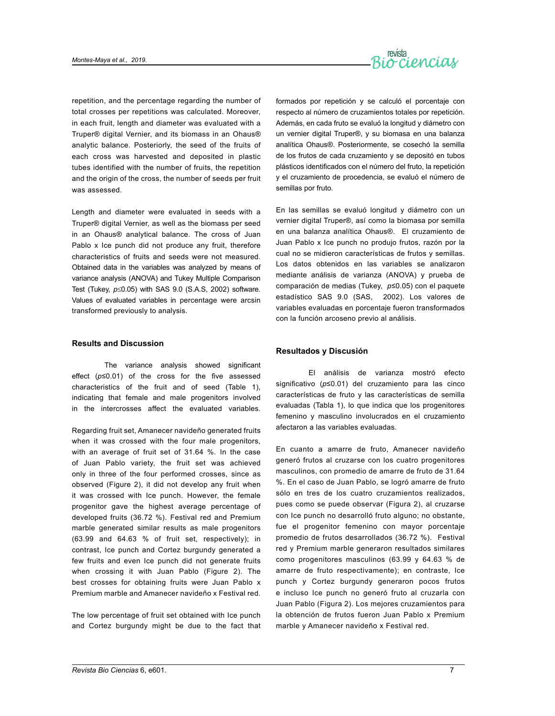

repetition, and the percentage regarding the number of total crosses per repetitions was calculated. Moreover, in each fruit, length and diameter was evaluated with a Truper® digital Vernier, and its biomass in an Ohaus® analytic balance. Posteriorly, the seed of the fruits of each cross was harvested and deposited in plastic tubes identified with the number of fruits, the repetition and the origin of the cross, the number of seeds per fruit was assessed.

Length and diameter were evaluated in seeds with a Truper® digital Vernier, as well as the biomass per seed in an Ohaus® analytical balance. The cross of Juan Pablo x Ice punch did not produce any fruit, therefore characteristics of fruits and seeds were not measured. Obtained data in the variables was analyzed by means of variance analysis (ANOVA) and Tukey Multiple Comparison Test (Tukey, *p*≤0.05) with SAS 9.0 (S.A.S, 2002) software. Values of evaluated variables in percentage were arcsin transformed previously to analysis.

#### **Results and Discussion**

The variance analysis showed significant effect (*p*≤0.01) of the cross for the five assessed characteristics of the fruit and of seed (Table 1), indicating that female and male progenitors involved in the intercrosses affect the evaluated variables.

Regarding fruit set, Amanecer navideño generated fruits when it was crossed with the four male progenitors, with an average of fruit set of 31.64 %. In the case of Juan Pablo variety, the fruit set was achieved only in three of the four performed crosses, since as observed (Figure 2), it did not develop any fruit when it was crossed with Ice punch. However, the female progenitor gave the highest average percentage of developed fruits (36.72 %). Festival red and Premium marble generated similar results as male progenitors (63.99 and 64.63 % of fruit set, respectively); in contrast, Ice punch and Cortez burgundy generated a few fruits and even Ice punch did not generate fruits when crossing it with Juan Pablo (Figure 2). The best crosses for obtaining fruits were Juan Pablo x Premium marble and Amanecer navideño x Festival red.

The low percentage of fruit set obtained with Ice punch and Cortez burgundy might be due to the fact that formados por repetición y se calculó el porcentaje con respecto al número de cruzamientos totales por repetición. Además, en cada fruto se evaluó la longitud y diámetro con un vernier digital Truper®, y su biomasa en una balanza analítica Ohaus®. Posteriormente, se cosechó la semilla de los frutos de cada cruzamiento y se depositó en tubos plásticos identificados con el número del fruto, la repetición y el cruzamiento de procedencia, se evaluó el número de semillas por fruto.

En las semillas se evaluó longitud y diámetro con un vernier digital Truper®, así como la biomasa por semilla en una balanza analítica Ohaus®. El cruzamiento de Juan Pablo x Ice punch no produjo frutos, razón por la cual no se midieron características de frutos y semillas. Los datos obtenidos en las variables se analizaron mediante análisis de varianza (ANOVA) y prueba de comparación de medias (Tukey, *p*≤0.05) con el paquete estadístico SAS 9.0 (SAS, 2002). Los valores de variables evaluadas en porcentaje fueron transformados con la función arcoseno previo al análisis.

# **Resultados y Discusión**

El análisis de varianza mostró efecto significativo (*p*≤0.01) del cruzamiento para las cinco características de fruto y las características de semilla evaluadas (Tabla 1), lo que indica que los progenitores femenino y masculino involucrados en el cruzamiento afectaron a las variables evaluadas.

En cuanto a amarre de fruto, Amanecer navideño generó frutos al cruzarse con los cuatro progenitores masculinos, con promedio de amarre de fruto de 31.64 %. En el caso de Juan Pablo, se logró amarre de fruto sólo en tres de los cuatro cruzamientos realizados, pues como se puede observar (Figura 2), al cruzarse con Ice punch no desarrolló fruto alguno; no obstante, fue el progenitor femenino con mayor porcentaje promedio de frutos desarrollados (36.72 %). Festival red y Premium marble generaron resultados similares como progenitores masculinos (63.99 y 64.63 % de amarre de fruto respectivamente); en contraste, Ice punch y Cortez burgundy generaron pocos frutos e incluso Ice punch no generó fruto al cruzarla con Juan Pablo (Figura 2). Los mejores cruzamientos para la obtención de frutos fueron Juan Pablo x Premium marble y Amanecer navideño x Festival red.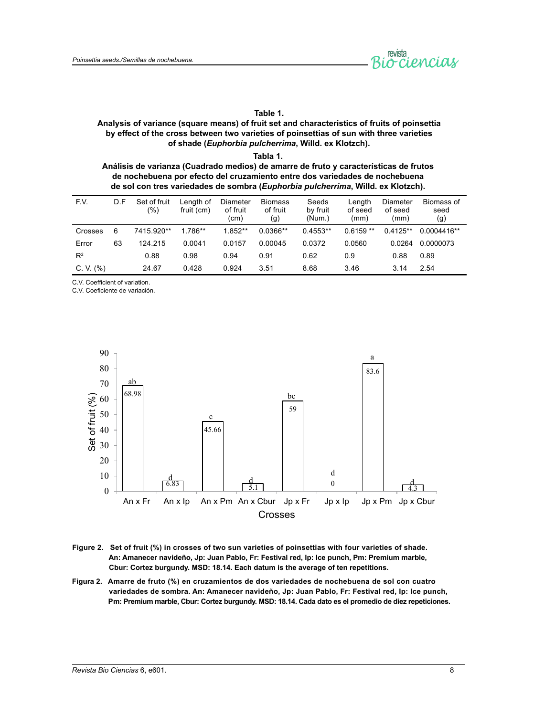

# **Table 1.**

# **Analysis of variance (square means) of fruit set and characteristics of fruits of poinsettia by effect of the cross between two varieties of poinsettias of sun with three varieties of shade (***Euphorbia pulcherrima***, Willd. ex Klotzch).**

**Tabla 1. Análisis de varianza (Cuadrado medios) de amarre de fruto y características de frutos de nochebuena por efecto del cruzamiento entre dos variedades de nochebuena de sol con tres variedades de sombra (***Euphorbia pulcherrima***, Willd. ex Klotzch).**

| F.V.        | D.F | Set of fruit<br>(%) | Length of<br>fruit (cm) | Diameter<br>of fruit<br>(cm) | <b>Biomass</b><br>of fruit<br>(g) | Seeds<br>by fruit<br>(Num.) | Length<br>of seed<br>(mm) | Diameter<br>of seed<br>(mm) | Biomass of<br>seed<br>(g) |
|-------------|-----|---------------------|-------------------------|------------------------------|-----------------------------------|-----------------------------|---------------------------|-----------------------------|---------------------------|
| Crosses     | 6   | 7415.920**          | 1.786**                 | $1.852**$                    | $0.0366**$                        | $0.4553**$                  | $0.6159**$                | $0.4125**$                  | $0.0004416**$             |
| Error       | 63  | 124.215             | 0.0041                  | 0.0157                       | 0.00045                           | 0.0372                      | 0.0560                    | 0.0264                      | 0.0000073                 |
| $R^2$       |     | 0.88                | 0.98                    | 0.94                         | 0.91                              | 0.62                        | 0.9                       | 0.88                        | 0.89                      |
| C. V. $(%)$ |     | 24.67               | 0.428                   | 0.924                        | 3.51                              | 8.68                        | 3.46                      | 3.14                        | 2.54                      |

C.V. Coefficient of variation.

C.V. Coeficiente de variación.



- **Figure 2. Set of fruit (%) in crosses of two sun varieties of poinsettias with four varieties of shade. An: Amanecer navideño, Jp: Juan Pablo, Fr: Festival red, Ip: Ice punch, Pm: Premium marble, Cbur: Cortez burgundy. MSD: 18.14. Each datum is the average of ten repetitions.**
- **Figura 2. Amarre de fruto (%) en cruzamientos de dos variedades de nochebuena de sol con cuatro variedades de sombra. An: Amanecer navideño, Jp: Juan Pablo, Fr: Festival red, Ip: Ice punch, Pm: Premium marble, Cbur: Cortez burgundy. MSD: 18.14. Cada dato es el promedio de diez repeticiones.**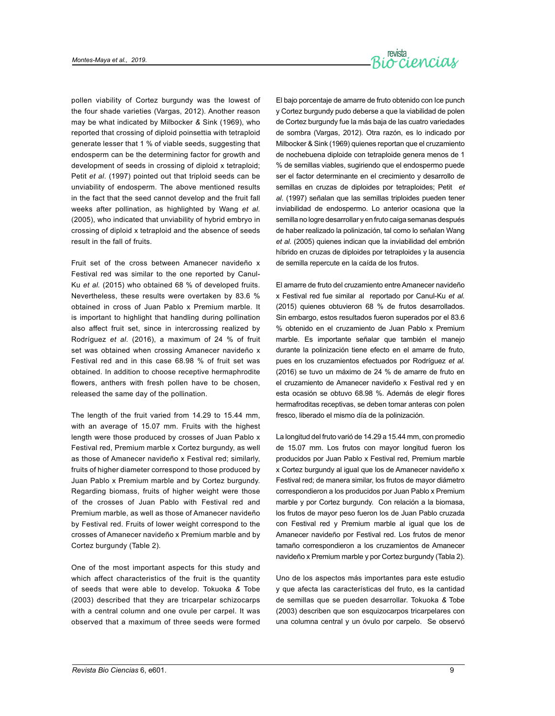

pollen viability of Cortez burgundy was the lowest of the four shade varieties (Vargas, 2012). Another reason may be what indicated by Milbocker *&* Sink (1969), who reported that crossing of diploid poinsettia with tetraploid generate lesser that 1 % of viable seeds, suggesting that endosperm can be the determining factor for growth and development of seeds in crossing of diploid x tetraploid; Petit *et al*. (1997) pointed out that triploid seeds can be unviability of endosperm. The above mentioned results in the fact that the seed cannot develop and the fruit fall weeks after pollination, as highlighted by Wang *et al.* (2005), who indicated that unviability of hybrid embryo in crossing of diploid x tetraploid and the absence of seeds result in the fall of fruits.

Fruit set of the cross between Amanecer navideño x Festival red was similar to the one reported by Canul-Ku *et al.* (2015) who obtained 68 % of developed fruits. Nevertheless, these results were overtaken by 83.6 % obtained in cross of Juan Pablo x Premium marble. It is important to highlight that handling during pollination also affect fruit set, since in intercrossing realized by Rodríguez *et al*. (2016), a maximum of 24 % of fruit set was obtained when crossing Amanecer navideño x Festival red and in this case 68.98 % of fruit set was obtained. In addition to choose receptive hermaphrodite flowers, anthers with fresh pollen have to be chosen, released the same day of the pollination.

The length of the fruit varied from 14.29 to 15.44 mm, with an average of 15.07 mm. Fruits with the highest length were those produced by crosses of Juan Pablo x Festival red, Premium marble x Cortez burgundy, as well as those of Amanecer navideño x Festival red; similarly, fruits of higher diameter correspond to those produced by Juan Pablo x Premium marble and by Cortez burgundy. Regarding biomass, fruits of higher weight were those of the crosses of Juan Pablo with Festival red and Premium marble, as well as those of Amanecer navideño by Festival red. Fruits of lower weight correspond to the crosses of Amanecer navideño x Premium marble and by Cortez burgundy (Table 2).

One of the most important aspects for this study and which affect characteristics of the fruit is the quantity of seeds that were able to develop. Tokuoka *&* Tobe (2003) described that they are tricarpelar schizocarps with a central column and one ovule per carpel. It was observed that a maximum of three seeds were formed El bajo porcentaje de amarre de fruto obtenido con Ice punch y Cortez burgundy pudo deberse a que la viabilidad de polen de Cortez burgundy fue la más baja de las cuatro variedades de sombra (Vargas, 2012). Otra razón, es lo indicado por Milbocker & Sink (1969) quienes reportan que el cruzamiento de nochebuena diploide con tetraploide genera menos de 1 % de semillas viables, sugiriendo que el endospermo puede ser el factor determinante en el crecimiento y desarrollo de semillas en cruzas de diploides por tetraploides; Petit *et al*. (1997) señalan que las semillas triploides pueden tener inviabilidad de endospermo. Lo anterior ocasiona que la semilla no logre desarrollar y en fruto caiga semanas después de haber realizado la polinización, tal como lo señalan Wang *et al.* (2005) quienes indican que la inviabilidad del embrión híbrido en cruzas de diploides por tetraploides y la ausencia de semilla repercute en la caída de los frutos.

El amarre de fruto del cruzamiento entre Amanecer navideño x Festival red fue similar al reportado por Canul-Ku *et al.* (2015) quienes obtuvieron 68 % de frutos desarrollados. Sin embargo, estos resultados fueron superados por el 83.6 % obtenido en el cruzamiento de Juan Pablo x Premium marble. Es importante señalar que también el manejo durante la polinización tiene efecto en el amarre de fruto, pues en los cruzamientos efectuados por Rodríguez *et al.* (2016) se tuvo un máximo de 24 % de amarre de fruto en el cruzamiento de Amanecer navideño x Festival red y en esta ocasión se obtuvo 68.98 %. Además de elegir flores hermafroditas receptivas, se deben tomar anteras con polen fresco, liberado el mismo día de la polinización.

La longitud del fruto varió de 14.29 a 15.44 mm, con promedio de 15.07 mm. Los frutos con mayor longitud fueron los producidos por Juan Pablo x Festival red, Premium marble x Cortez burgundy al igual que los de Amanecer navideño x Festival red; de manera similar, los frutos de mayor diámetro correspondieron a los producidos por Juan Pablo x Premium marble y por Cortez burgundy. Con relación a la biomasa, los frutos de mayor peso fueron los de Juan Pablo cruzada con Festival red y Premium marble al igual que los de Amanecer navideño por Festival red. Los frutos de menor tamaño correspondieron a los cruzamientos de Amanecer navideño x Premium marble y por Cortez burgundy (Tabla 2).

Uno de los aspectos más importantes para este estudio y que afecta las características del fruto, es la cantidad de semillas que se pueden desarrollar. Tokuoka *&* Tobe (2003) describen que son esquizocarpos tricarpelares con una columna central y un óvulo por carpelo. Se observó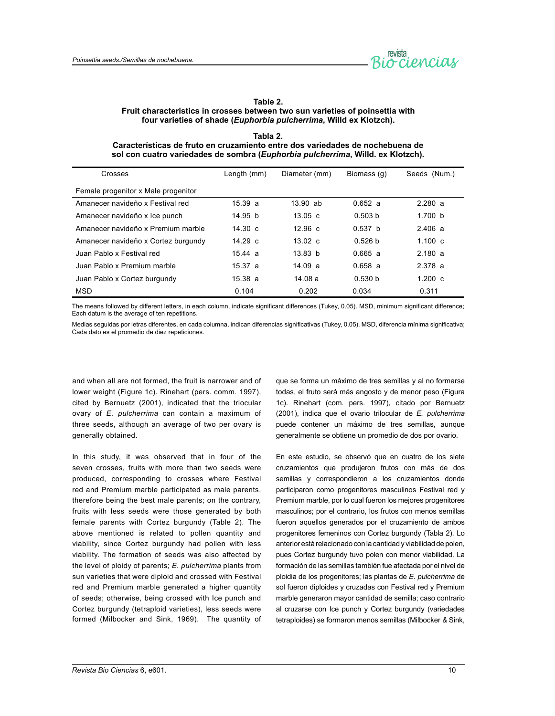

# **Table 2. Fruit characteristics in crosses between two sun varieties of poinsettia with four varieties of shade (***Euphorbia pulcherrima***, Willd ex Klotzch).**

| Tabla 2.                                                                                 |
|------------------------------------------------------------------------------------------|
| Características de fruto en cruzamiento entre dos variedades de nochebuena de            |
| sol con cuatro variedades de sombra ( <i>Euphorbia pulcherrima</i> , Willd. ex Klotzch). |

| Crosses                             | Length (mm)       | Diameter (mm)      | Biomass (q)        | Seeds (Num.)      |
|-------------------------------------|-------------------|--------------------|--------------------|-------------------|
| Female progenitor x Male progenitor |                   |                    |                    |                   |
| Amanecer navideño x Festival red    | 15.39a            | $13.90$ ab         | 0.652a             | 2.280a            |
| Amanecer navideño x Ice punch       | 14.95 b           | $13.05 \text{ c}$  | 0.503 <sub>b</sub> | 1.700 b           |
| Amanecer navideño x Premium marble  | $14.30 \text{ c}$ | $12.96 \text{ c}$  | 0.537 <sub>b</sub> | 2.406a            |
| Amanecer navideño x Cortez burgundy | $14.29 \text{ c}$ | $13.02 \text{ c}$  | 0.526 <sub>b</sub> | $1.100 \text{ c}$ |
| Juan Pablo x Festival red           | 15.44a            | 13.83 <sub>b</sub> | 0.665a             | 2.180a            |
| Juan Pablo x Premium marble         | 15.37a            | 14.09a             | 0.658a             | 2.378a            |
| Juan Pablo x Cortez burgundy        | 15.38a            | 14.08a             | 0.530 <sub>b</sub> | $1.200 \text{ c}$ |
| <b>MSD</b>                          | 0.104             | 0.202              | 0.034              | 0.311             |

The means followed by different letters, in each column, indicate significant differences (Tukey, 0.05). MSD, minimum significant difference; Each datum is the average of ten repetitions.

Medias seguidas por letras diferentes, en cada columna, indican diferencias significativas (Tukey, 0.05). MSD, diferencia mínima significativa; Cada dato es el promedio de diez repeticiones.

and when all are not formed, the fruit is narrower and of lower weight (Figure 1c). Rinehart (pers. comm. 1997), cited by Bernuetz (2001), indicated that the triocular ovary of *E. pulcherrima* can contain a maximum of three seeds, although an average of two per ovary is generally obtained.

In this study, it was observed that in four of the seven crosses, fruits with more than two seeds were produced, corresponding to crosses where Festival red and Premium marble participated as male parents, therefore being the best male parents; on the contrary, fruits with less seeds were those generated by both female parents with Cortez burgundy (Table 2). The above mentioned is related to pollen quantity and viability, since Cortez burgundy had pollen with less viability. The formation of seeds was also affected by the level of ploidy of parents; *E. pulcherrima* plants from sun varieties that were diploid and crossed with Festival red and Premium marble generated a higher quantity of seeds; otherwise, being crossed with Ice punch and Cortez burgundy (tetraploid varieties), less seeds were formed (Milbocker and Sink, 1969). The quantity of que se forma un máximo de tres semillas y al no formarse todas, el fruto será más angosto y de menor peso (Figura 1c). Rinehart (com. pers. 1997), citado por Bernuetz (2001), indica que el ovario trilocular de *E. pulcherrima* puede contener un máximo de tres semillas, aunque generalmente se obtiene un promedio de dos por ovario.

En este estudio, se observó que en cuatro de los siete cruzamientos que produjeron frutos con más de dos semillas y correspondieron a los cruzamientos donde participaron como progenitores masculinos Festival red y Premium marble, por lo cual fueron los mejores progenitores masculinos; por el contrario, los frutos con menos semillas fueron aquellos generados por el cruzamiento de ambos progenitores femeninos con Cortez burgundy (Tabla 2). Lo anterior está relacionado con la cantidad y viabilidad de polen, pues Cortez burgundy tuvo polen con menor viabilidad. La formación de las semillas también fue afectada por el nivel de ploidia de los progenitores; las plantas de *E. pulcherrima* de sol fueron diploides y cruzadas con Festival red y Premium marble generaron mayor cantidad de semilla; caso contrario al cruzarse con Ice punch y Cortez burgundy (variedades tetraploides) se formaron menos semillas (Milbocker *&* Sink,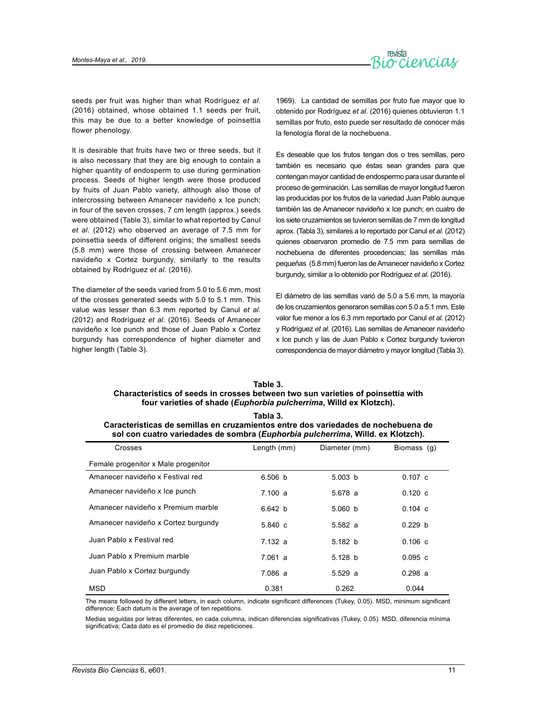

seeds per fruit was higher than what Rodríguez *et al*. (2016) obtained, whose obtained 1.1 seeds per fruit, this may be due to a better knowledge of poinsettia flower phenology.

It is desirable that fruits have two or three seeds, but it is also necessary that they are big enough to contain a higher quantity of endosperm to use during germination process. Seeds of higher length were those produced by fruits of Juan Pablo variety, although also those of intercrossing between Amanecer navideño x Ice punch; in four of the seven crosses, 7 cm length (approx.) seeds were obtained (Table 3), similar to what reported by Canul *et al*. (2012) who observed an average of 7.5 mm for poinsettia seeds of different origins; the smallest seeds (5.8 mm) were those of crossing between Amanecer navideño x Cortez burgundy, similarly to the results obtained by Rodríguez *et al*. (2016).

The diameter of the seeds varied from 5.0 to 5.6 mm, most of the crosses generated seeds with 5.0 to 5.1 mm. This value was lesser than 6.3 mm reported by Canul *et al*. (2012) and Rodríguez *et al*. (2016). Seeds of Amanecer navideño x Ice punch and those of Juan Pablo x Cortez burgundy has correspondence of higher diameter and higher length (Table 3).

1969). La cantidad de semillas por fruto fue mayor que lo obtenido por Rodríguez *et al*. (2016) quienes obtuvieron 1.1 semillas por fruto, esto puede ser resultado de conocer más la fenología floral de la nochebuena.

Es deseable que los frutos tengan dos o tres semillas, pero también es necesario que éstas sean grandes para que contengan mayor cantidad de endospermo para usar durante el proceso de germinación. Las semillas de mayor longitud fueron las producidas por los frutos de la variedad Juan Pablo aunque también las de Amanecer navideño x Ice punch; en cuatro de los siete cruzamientos se tuvieron semillas de 7 mm de longitud aprox. (Tabla 3), similares a lo reportado por Canul *et al*. (2012) quienes observaron promedio de 7.5 mm para semillas de nochebuena de diferentes procedencias; las semillas más pequeñas (5.8 mm) fueron las de Amanecer navideño x Cortez burgundy, similar a lo obtenido por Rodríguez *et al*. (2016).

El diámetro de las semillas varió de 5.0 a 5.6 mm, la mayoría de los cruzamientos generaron semillas con 5.0 a 5.1 mm. Este valor fue menor a los 6.3 mm reportado por Canul *et al*. (2012) y Rodríguez *et al*. (2016). Las semillas de Amanecer navideño x Ice punch y las de Juan Pablo x Cortez burgundy tuvieron correspondencia de mayor diámetro y mayor longitud (Tabla 3).

# **Table 3. Characteristics of seeds in crosses between two sun varieties of poinsettia with four varieties of shade (***Euphorbia pulcherrima***, Willd ex Klotzch).**

| Tabla 3.                                                                                                                                                             |             |               |             |  |  |  |  |
|----------------------------------------------------------------------------------------------------------------------------------------------------------------------|-------------|---------------|-------------|--|--|--|--|
| Características de semillas en cruzamientos entre dos variedades de nochebuena de<br>sol con cuatro variedades de sombra (Euphorbia pulcherrima, Willd. ex Klotzch). |             |               |             |  |  |  |  |
| Crosses                                                                                                                                                              | Length (mm) | Diameter (mm) | Biomass (g) |  |  |  |  |

| Crosses                             | Length (mm) | Diameter (mm) | Biomass (g)        |
|-------------------------------------|-------------|---------------|--------------------|
| Female progenitor x Male progenitor |             |               |                    |
| Amanecer navideño x Festival red    | 6.506 b     | 5.003 b       | $0.107 \text{ c}$  |
| Amanecer navideño x Ice punch       | 7.100 a     | 5.678 a       | 0.120c             |
| Amanecer navideño x Premium marble  | 6.642 b     | 5.060 b       | $0.104 \text{ c}$  |
| Amanecer navideño x Cortez burgundy | 5.840 c     | 5.582 a       | 0.229 <sub>b</sub> |
| Juan Pablo x Festival red           | 7.132a      | 5.182 b       | 0.106c             |
| Juan Pablo x Premium marble         | 7.061a      | 5.128 b       | 0.095c             |
| Juan Pablo x Cortez burgundy        | 7.086 a     | 5.529a        | 0.298a             |
| <b>MSD</b>                          | 0.381       | 0.262         | 0.044              |

The means followed by different letters, in each column, indicate significant differences (Tukey, 0.05). MSD, minimum significant difference; Each datum is the average of ten repetitions.

Medias seguidas por letras diferentes, en cada columna, indican diferencias significativas (Tukey, 0.05). MSD, diferencia mínima significativa; Cada dato es el promedio de diez repeticiones.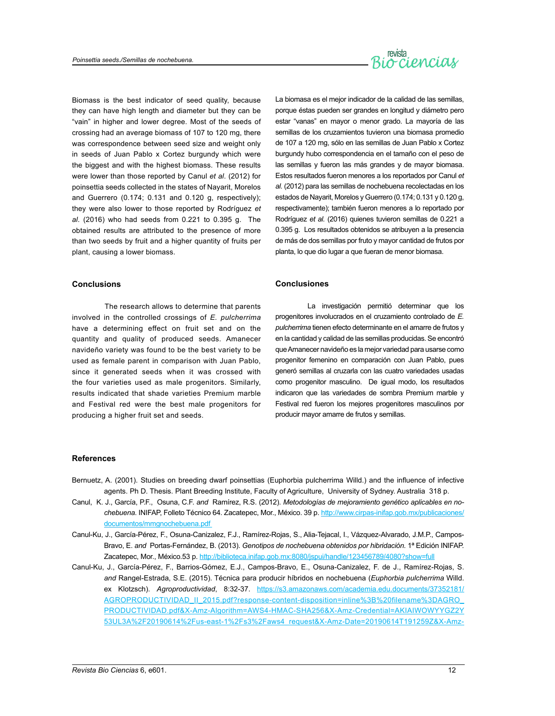

Biomass is the best indicator of seed quality, because they can have high length and diameter but they can be "vain" in higher and lower degree. Most of the seeds of crossing had an average biomass of 107 to 120 mg, there was correspondence between seed size and weight only in seeds of Juan Pablo x Cortez burgundy which were the biggest and with the highest biomass. These results were lower than those reported by Canul *et al*. (2012) for poinsettia seeds collected in the states of Nayarit, Morelos and Guerrero (0.174; 0.131 and 0.120 g, respectively); they were also lower to those reported by Rodríguez *et al.* (2016) who had seeds from 0.221 to 0.395 g. The obtained results are attributed to the presence of more than two seeds by fruit and a higher quantity of fruits per plant, causing a lower biomass.

## **Conclusions**

The research allows to determine that parents involved in the controlled crossings of *E. pulcherrima* have a determining effect on fruit set and on the quantity and quality of produced seeds. Amanecer navideño variety was found to be the best variety to be used as female parent in comparison with Juan Pablo, since it generated seeds when it was crossed with the four varieties used as male progenitors. Similarly, results indicated that shade varieties Premium marble and Festival red were the best male progenitors for producing a higher fruit set and seeds.

La biomasa es el mejor indicador de la calidad de las semillas, porque éstas pueden ser grandes en longitud y diámetro pero estar "vanas" en mayor o menor grado. La mayoría de las semillas de los cruzamientos tuvieron una biomasa promedio de 107 a 120 mg, sólo en las semillas de Juan Pablo x Cortez burgundy hubo correspondencia en el tamaño con el peso de las semillas y fueron las más grandes y de mayor biomasa. Estos resultados fueron menores a los reportados por Canul *et al*. (2012) para las semillas de nochebuena recolectadas en los estados de Nayarit, Morelos y Guerrero (0.174; 0.131 y 0.120 g, respectivamente); también fueron menores a lo reportado por Rodríguez *et al.* (2016) quienes tuvieron semillas de 0.221 a 0.395 g. Los resultados obtenidos se atribuyen a la presencia de más de dos semillas por fruto y mayor cantidad de frutos por planta, lo que dio lugar a que fueran de menor biomasa.

#### **Conclusiones**

La investigación permitió determinar que los progenitores involucrados en el cruzamiento controlado de *E. pulcherrima* tienen efecto determinante en el amarre de frutos y en la cantidad y calidad de las semillas producidas. Se encontró que Amanecer navideño es la mejor variedad para usarse como progenitor femenino en comparación con Juan Pablo, pues generó semillas al cruzarla con las cuatro variedades usadas como progenitor masculino. De igual modo, los resultados indicaron que las variedades de sombra Premium marble y Festival red fueron los mejores progenitores masculinos por producir mayor amarre de frutos y semillas.

## **References**

- Bernuetz, A. (2001). Studies on breeding dwarf poinsettias (Euphorbia pulcherrima Willd.) and the influence of infective agents. Ph D. Thesis. Plant Breeding Institute, Faculty of Agriculture, University of Sydney. Australia 318 p.
- Canul, K. J., García, P.F., Osuna, C.F. *and* Ramírez, R.S. (2012). *Metodologías de mejoramiento genético aplicables en nochebuena*. INIFAP, Folleto Técnico 64. Zacatepec, Mor., México. 39 p. [http://www.cirpas-inifap.gob.mx/publicaciones/](http://www.cirpas-inifap.gob.mx/publicaciones/documentos/) [documentos/](http://www.cirpas-inifap.gob.mx/publicaciones/documentos/)mmgnochebuena.pdf
- Canul-Ku, J., García-Pérez, F., Osuna-Canizalez, F.J., Ramírez-Rojas, S., Alia-Tejacal, I., Vázquez-Alvarado, J.M.P., Campos-Bravo, E. *and* Portas-Fernández, B. (2013). *Genotipos de nochebuena obtenidos por hibridación.* 1ª Edición INIFAP. Zacatepec, Mor., México.53 p.<http://biblioteca.inifap.gob.mx:8080/jspui/handle/123456789/4080?show=full>
- Canul-Ku, J., García-Pérez, F., Barrios-Gómez, E.J., Campos-Bravo, E., Osuna-Canizalez, F. de J., Ramírez-Rojas, S. *and* Rangel-Estrada, S.E. (2015). Técnica para producir híbridos en nochebuena (*Euphorbia pulcherrima* Willd. ex Klotzsch). *Agroproductividad*, 8:32-37. https://s3.amazonaws.com/academia.edu.documents/37352181/ AGROPRODUCTIVIDAD\_II\_2015.pdf?response-content-disposition=inline%3B%20filename%3DAGRO PRODUCTIVIDAD.pdf&X-Amz-Algorithm=AWS4-HMAC-SHA256&X-Amz-Credential=AKIAIWOWYYGZ2Y 53UL3A%2F20190614%2Fus-east-1%2Fs3%2Faws4\_request&X-Amz-Date=20190614T191259Z&X-Amz-